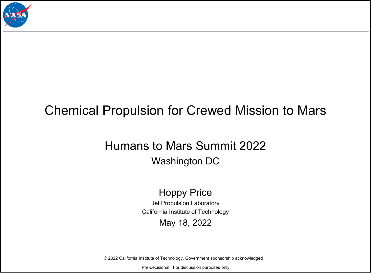

## Chemical Propulsion for Crewed Mission to Mars

## Humans to Mars Summit 2022 Washington DC

## Hoppy Price

Jet Propulsion Laboratory California Institute of Technology

## May 18, 2022

© 2022 California Institute of Technology. Government sponsorship acknowledged

Pre-decisional. For discussion purposes only.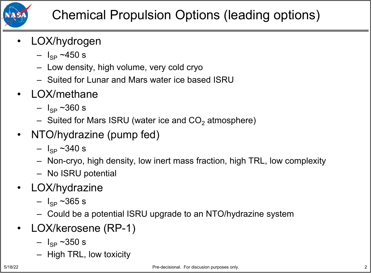

- LOX/hydrogen
	- $I_{SP}$  ~450 s
	- Low density, high volume, very cold cryo
	- Suited for Lunar and Mars water ice based ISRU
- LOX/methane
	- $\, I_{SP} \sim 360 \, s$
	- Suited for Mars ISRU (water ice and  $CO<sub>2</sub>$  atmosphere)
- NTO/hydrazine (pump fed)
	- $\, I_{SP} \sim 340 \, s$
	- Non-cryo, high density, low inert mass fraction, high TRL, low complexity
	- No ISRU potential
- LOX/hydrazine
	- $I_{SP}$  ~365 s
	- Could be a potential ISRU upgrade to an NTO/hydrazine system
- LOX/kerosene (RP-1)
	- $I_{SP}$  ~350 s
	- High TRL, low toxicity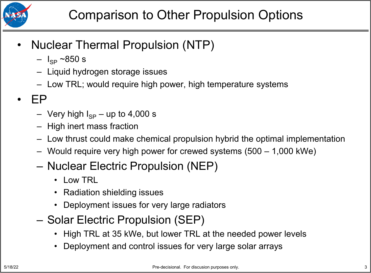

- Nuclear Thermal Propulsion (NTP)
	- $I_{SP}$  ~850 s
	- Liquid hydrogen storage issues
	- Low TRL; would require high power, high temperature systems
- EP
	- Very high  $I_{SP}$  up to 4,000 s
	- High inert mass fraction
	- Low thrust could make chemical propulsion hybrid the optimal implementation
	- Would require very high power for crewed systems (500 1,000 kWe)
	- Nuclear Electric Propulsion (NEP)
		- Low TRL
		- Radiation shielding issues
		- Deployment issues for very large radiators
	- Solar Electric Propulsion (SEP)
		- High TRL at 35 kWe, but lower TRL at the needed power levels
		- Deployment and control issues for very large solar arrays